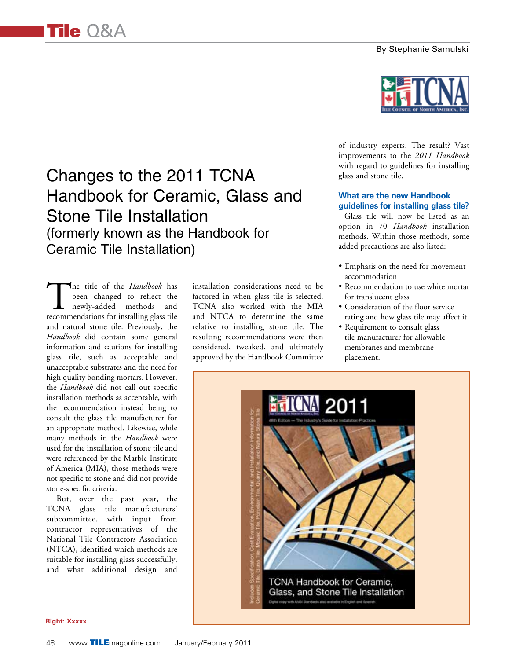#### By Stephanie Samulski

# Changes to the 2011 TCNA Handbook for Ceramic, Glass and Stone Tile Installation (formerly known as the Handbook for Ceramic Tile Installation)

The title of the *Handbook* has<br>been changed to reflect the<br>newly-added methods and<br>recommendations for installing glass tile been changed to reflect the newly-added methods and recommendations for installing glass tile and natural stone tile. Previously, the *Handbook* did contain some general information and cautions for installing glass tile, such as acceptable and unacceptable substrates and the need for high quality bonding mortars. However, the *Handbook* did not call out specific installation methods as acceptable, with the recommendation instead being to consult the glass tile manufacturer for an appropriate method. Likewise, while many methods in the *Handbook* were used for the installation of stone tile and were referenced by the Marble Institute of America (MIA), those methods were not specific to stone and did not provide stone-specific criteria.

But, over the past year, the TCNA glass tile manufacturers' subcommittee, with input from contractor representatives of the National Tile Contractors Association (NTCA), identified which methods are suitable for installing glass successfully, and what additional design and

installation considerations need to be factored in when glass tile is selected. TCNA also worked with the MIA and NTCA to determine the same relative to installing stone tile. The resulting recommendations were then considered, tweaked, and ultimately approved by the Handbook Committee



of industry experts. The result? Vast improvements to the *2011 Handbook* with regard to guidelines for installing glass and stone tile.

## **What are the new Handbook guidelines for installing glass tile?**

Glass tile will now be listed as an option in 70 *Handbook* installation methods. Within those methods, some added precautions are also listed:

- Emphasis on the need for movement accommodation
- Recommendation to use white mortar for translucent glass
- Consideration of the floor service rating and how glass tile may affect it
- Requirement to consult glass tile manufacturer for allowable membranes and membrane placement.



**Right: Xxxxx**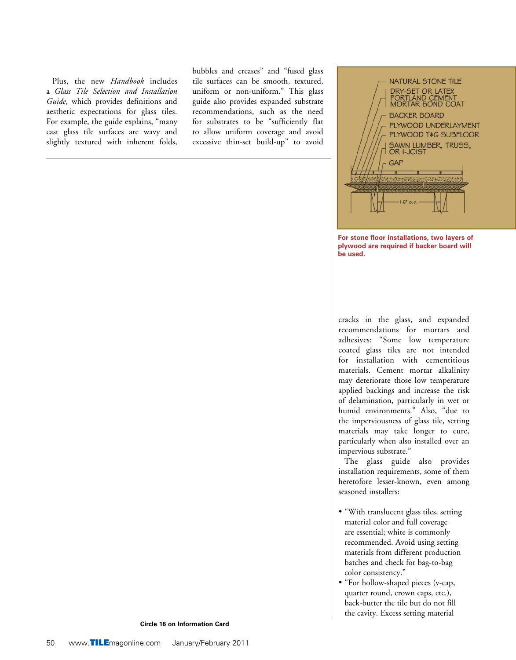Plus, the new *Handbook* includes a *Glass Tile Selection and Installation Guide*, which provides definitions and aesthetic expectations for glass tiles. For example, the guide explains, "many cast glass tile surfaces are wavy and slightly textured with inherent folds,

bubbles and creases" and "fused glass tile surfaces can be smooth, textured, uniform or non-uniform." This glass guide also provides expanded substrate recommendations, such as the need for substrates to be "sufficiently flat to allow uniform coverage and avoid excessive thin-set build-up" to avoid



**For stone floor installations, two layers of plywood are required if backer board will be used.**

cracks in the glass, and expanded recommendations for mortars and adhesives: "Some low temperature coated glass tiles are not intended for installation with cementitious materials. Cement mortar alkalinity may deteriorate those low temperature applied backings and increase the risk of delamination, particularly in wet or humid environments." Also, "due to the imperviousness of glass tile, setting materials may take longer to cure, particularly when also installed over an impervious substrate."

The glass guide also provides installation requirements, some of them heretofore lesser-known, even among seasoned installers:

- "With translucent glass tiles, setting material color and full coverage are essential; white is commonly recommended. Avoid using setting materials from different production batches and check for bag-to-bag color consistency."
- "For hollow-shaped pieces (v-cap, quarter round, crown caps, etc.), back-butter the tile but do not fill the cavity. Excess setting material

#### **Circle 16 on Information Card**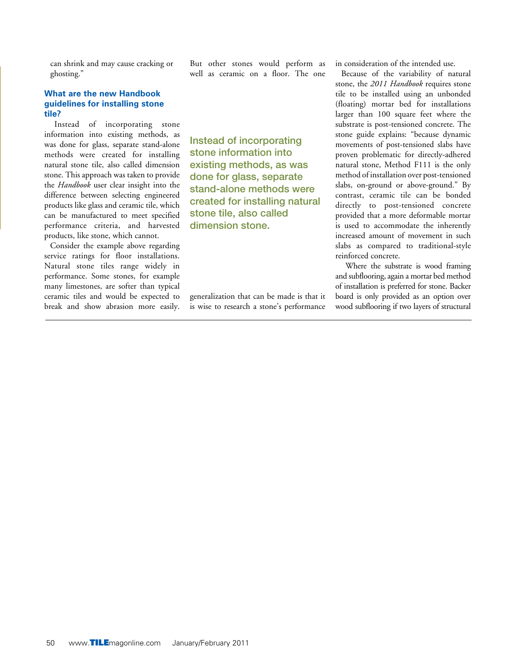can shrink and may cause cracking or ghosting."

## **What are the new Handbook guidelines for installing stone tile?**

Instead of incorporating stone information into existing methods, as was done for glass, separate stand-alone methods were created for installing natural stone tile, also called dimension stone. This approach was taken to provide the *Handbook* user clear insight into the difference between selecting engineered products like glass and ceramic tile, which can be manufactured to meet specified performance criteria, and harvested products, like stone, which cannot.

Consider the example above regarding service ratings for floor installations. Natural stone tiles range widely in performance. Some stones, for example many limestones, are softer than typical ceramic tiles and would be expected to break and show abrasion more easily. But other stones would perform as well as ceramic on a floor. The one

Instead of incorporating stone information into existing methods, as was done for glass, separate stand-alone methods were created for installing natural stone tile, also called dimension stone.

generalization that can be made is that it is wise to research a stone's performance in consideration of the intended use.

Because of the variability of natural stone, the *2011 Handbook* requires stone tile to be installed using an unbonded (floating) mortar bed for installations larger than 100 square feet where the substrate is post-tensioned concrete. The stone guide explains: "because dynamic movements of post-tensioned slabs have proven problematic for directly-adhered natural stone, Method F111 is the only method of installation over post-tensioned slabs, on-ground or above-ground." By contrast, ceramic tile can be bonded directly to post-tensioned concrete provided that a more deformable mortar is used to accommodate the inherently increased amount of movement in such slabs as compared to traditional-style reinforced concrete.

Where the substrate is wood framing and subflooring, again a mortar bed method of installation is preferred for stone. Backer board is only provided as an option over wood subflooring if two layers of structural